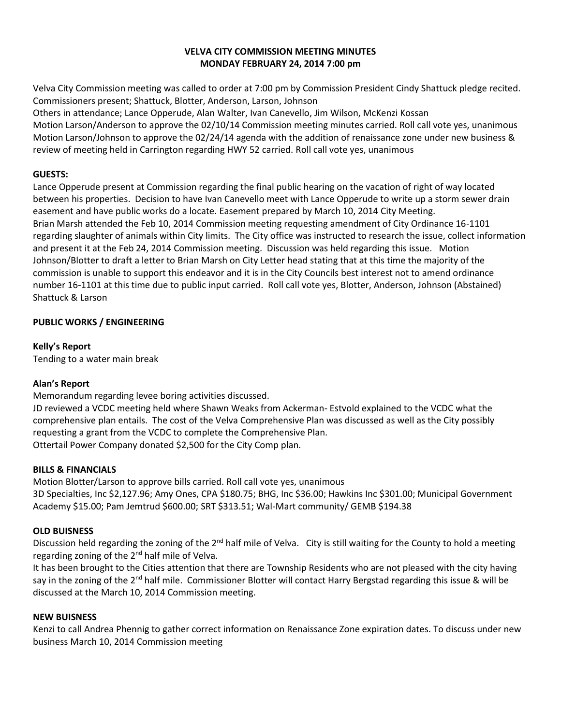#### **VELVA CITY COMMISSION MEETING MINUTES MONDAY FEBRUARY 24, 2014 7:00 pm**

Velva City Commission meeting was called to order at 7:00 pm by Commission President Cindy Shattuck pledge recited. Commissioners present; Shattuck, Blotter, Anderson, Larson, Johnson

Others in attendance; Lance Opperude, Alan Walter, Ivan Canevello, Jim Wilson, McKenzi Kossan Motion Larson/Anderson to approve the 02/10/14 Commission meeting minutes carried. Roll call vote yes, unanimous Motion Larson/Johnson to approve the 02/24/14 agenda with the addition of renaissance zone under new business &

review of meeting held in Carrington regarding HWY 52 carried. Roll call vote yes, unanimous

### **GUESTS:**

Lance Opperude present at Commission regarding the final public hearing on the vacation of right of way located between his properties. Decision to have Ivan Canevello meet with Lance Opperude to write up a storm sewer drain easement and have public works do a locate. Easement prepared by March 10, 2014 City Meeting. Brian Marsh attended the Feb 10, 2014 Commission meeting requesting amendment of City Ordinance 16-1101 regarding slaughter of animals within City limits. The City office was instructed to research the issue, collect information and present it at the Feb 24, 2014 Commission meeting. Discussion was held regarding this issue. Motion Johnson/Blotter to draft a letter to Brian Marsh on City Letter head stating that at this time the majority of the commission is unable to support this endeavor and it is in the City Councils best interest not to amend ordinance number 16-1101 at this time due to public input carried. Roll call vote yes, Blotter, Anderson, Johnson (Abstained) Shattuck & Larson

# **PUBLIC WORKS / ENGINEERING**

**Kelly's Report** Tending to a water main break

# **Alan's Report**

Memorandum regarding levee boring activities discussed.

JD reviewed a VCDC meeting held where Shawn Weaks from Ackerman- Estvold explained to the VCDC what the comprehensive plan entails. The cost of the Velva Comprehensive Plan was discussed as well as the City possibly requesting a grant from the VCDC to complete the Comprehensive Plan. Ottertail Power Company donated \$2,500 for the City Comp plan.

# **BILLS & FINANCIALS**

Motion Blotter/Larson to approve bills carried. Roll call vote yes, unanimous 3D Specialties, Inc \$2,127.96; Amy Ones, CPA \$180.75; BHG, Inc \$36.00; Hawkins Inc \$301.00; Municipal Government Academy \$15.00; Pam Jemtrud \$600.00; SRT \$313.51; Wal-Mart community/ GEMB \$194.38

# **OLD BUISNESS**

Discussion held regarding the zoning of the 2<sup>nd</sup> half mile of Velva. City is still waiting for the County to hold a meeting regarding zoning of the 2nd half mile of Velva.

It has been brought to the Cities attention that there are Township Residents who are not pleased with the city having say in the zoning of the 2<sup>nd</sup> half mile. Commissioner Blotter will contact Harry Bergstad regarding this issue & will be discussed at the March 10, 2014 Commission meeting.

#### **NEW BUISNESS**

Kenzi to call Andrea Phennig to gather correct information on Renaissance Zone expiration dates. To discuss under new business March 10, 2014 Commission meeting